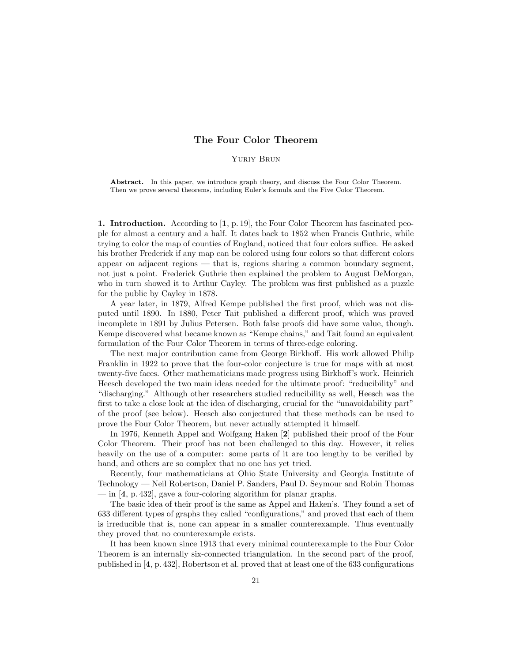# The Four Color Theorem

## Yuriy Brun

Abstract. In this paper, we introduce graph theory, and discuss the Four Color Theorem. Then we prove several theorems, including Euler's formula and the Five Color Theorem.

1. Introduction. According to [1, p. 19], the Four Color Theorem has fascinated people for almost a century and a half. It dates back to 1852 when Francis Guthrie, while trying to color the map of counties of England, noticed that four colors suffice. He asked his brother Frederick if any map can be colored using four colors so that different colors appear on adjacent regions — that is, regions sharing a common boundary segment, not just a point. Frederick Guthrie then explained the problem to August DeMorgan, who in turn showed it to Arthur Cayley. The problem was first published as a puzzle for the public by Cayley in 1878.

A year later, in 1879, Alfred Kempe published the first proof, which was not disputed until 1890. In 1880, Peter Tait published a different proof, which was proved incomplete in 1891 by Julius Petersen. Both false proofs did have some value, though. Kempe discovered what became known as "Kempe chains," and Tait found an equivalent formulation of the Four Color Theorem in terms of three-edge coloring.

The next major contribution came from George Birkhoff. His work allowed Philip Franklin in 1922 to prove that the four-color conjecture is true for maps with at most twenty-five faces. Other mathematicians made progress using Birkhoff's work. Heinrich Heesch developed the two main ideas needed for the ultimate proof: "reducibility" and "discharging." Although other researchers studied reducibility as well, Heesch was the first to take a close look at the idea of discharging, crucial for the "unavoidability part" of the proof (see below). Heesch also conjectured that these methods can be used to prove the Four Color Theorem, but never actually attempted it himself.

In 1976, Kenneth Appel and Wolfgang Haken [2] published their proof of the Four Color Theorem. Their proof has not been challenged to this day. However, it relies heavily on the use of a computer: some parts of it are too lengthy to be verified by hand, and others are so complex that no one has yet tried.

Recently, four mathematicians at Ohio State University and Georgia Institute of Technology — Neil Robertson, Daniel P. Sanders, Paul D. Seymour and Robin Thomas — in [4, p. 432], gave a four-coloring algorithm for planar graphs.

The basic idea of their proof is the same as Appel and Haken's. They found a set of 633 different types of graphs they called "configurations," and proved that each of them is irreducible that is, none can appear in a smaller counterexample. Thus eventually they proved that no counterexample exists.

It has been known since 1913 that every minimal counterexample to the Four Color Theorem is an internally six-connected triangulation. In the second part of the proof, published in [4, p. 432], Robertson et al. proved that at least one of the 633 configurations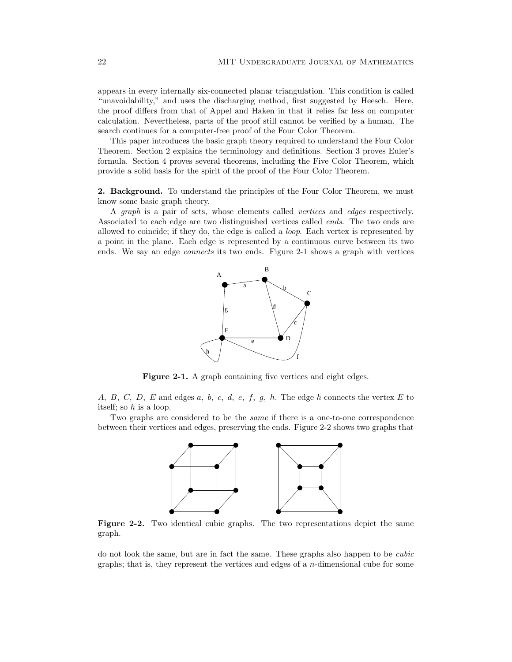appears in every internally six-connected planar triangulation. This condition is called "unavoidability," and uses the discharging method, first suggested by Heesch. Here, the proof differs from that of Appel and Haken in that it relies far less on computer calculation. Nevertheless, parts of the proof still cannot be verified by a human. The search continues for a computer-free proof of the Four Color Theorem.

This paper introduces the basic graph theory required to understand the Four Color Theorem. Section 2 explains the terminology and definitions. Section 3 proves Euler's formula. Section 4 proves several theorems, including the Five Color Theorem, which provide a solid basis for the spirit of the proof of the Four Color Theorem.

2. Background. To understand the principles of the Four Color Theorem, we must know some basic graph theory.

A graph is a pair of sets, whose elements called vertices and edges respectively. Associated to each edge are two distinguished vertices called ends. The two ends are allowed to coincide; if they do, the edge is called a loop. Each vertex is represented by a point in the plane. Each edge is represented by a continuous curve between its two ends. We say an edge *connects* its two ends. Figure 2-1 shows a graph with vertices



Figure 2-1. A graph containing five vertices and eight edges.

A, B, C, D, E and edges a, b, c, d, e, f, g, h. The edge h connects the vertex E to itself; so h is a loop.

Two graphs are considered to be the same if there is a one-to-one correspondence between their vertices and edges, preserving the ends. Figure 2-2 shows two graphs that



Figure 2-2. Two identical cubic graphs. The two representations depict the same graph.

do not look the same, but are in fact the same. These graphs also happen to be cubic graphs; that is, they represent the vertices and edges of a  $n$ -dimensional cube for some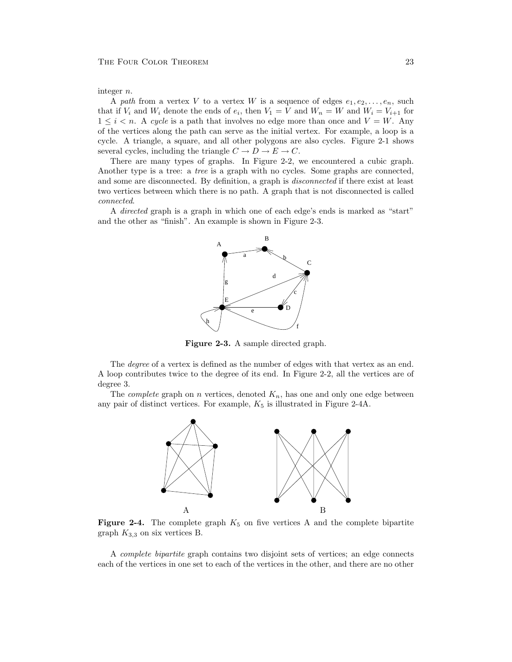integer n.

A path from a vertex V to a vertex W is a sequence of edges  $e_1, e_2, \ldots, e_n$ , such that if  $V_i$  and  $W_i$  denote the ends of  $e_i$ , then  $V_1 = V$  and  $W_n = W$  and  $W_i = V_{i+1}$  for  $1 \leq i \leq n$ . A cycle is a path that involves no edge more than once and  $V = W$ . Any of the vertices along the path can serve as the initial vertex. For example, a loop is a cycle. A triangle, a square, and all other polygons are also cycles. Figure 2-1 shows several cycles, including the triangle  $C \to D \to E \to C$ .

There are many types of graphs. In Figure 2-2, we encountered a cubic graph. Another type is a tree: a tree is a graph with no cycles. Some graphs are connected, and some are disconnected. By definition, a graph is disconnected if there exist at least two vertices between which there is no path. A graph that is not disconnected is called connected.

A directed graph is a graph in which one of each edge's ends is marked as "start" and the other as "finish". An example is shown in Figure 2-3.



Figure 2-3. A sample directed graph.

The degree of a vertex is defined as the number of edges with that vertex as an end. A loop contributes twice to the degree of its end. In Figure 2-2, all the vertices are of degree 3.

The *complete* graph on *n* vertices, denoted  $K_n$ , has one and only one edge between any pair of distinct vertices. For example,  $K_5$  is illustrated in Figure 2-4A.



**Figure 2-4.** The complete graph  $K_5$  on five vertices A and the complete bipartite graph  $K_{3,3}$  on six vertices B.

A complete bipartite graph contains two disjoint sets of vertices; an edge connects each of the vertices in one set to each of the vertices in the other, and there are no other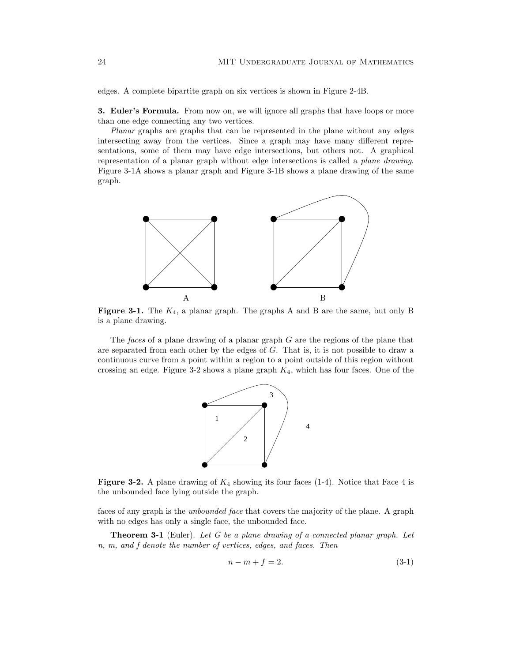edges. A complete bipartite graph on six vertices is shown in Figure 2-4B.

3. Euler's Formula. From now on, we will ignore all graphs that have loops or more than one edge connecting any two vertices.

Planar graphs are graphs that can be represented in the plane without any edges intersecting away from the vertices. Since a graph may have many different representations, some of them may have edge intersections, but others not. A graphical representation of a planar graph without edge intersections is called a plane drawing. Figure 3-1A shows a planar graph and Figure 3-1B shows a plane drawing of the same graph.



**Figure 3-1.** The  $K_4$ , a planar graph. The graphs A and B are the same, but only B is a plane drawing.

The faces of a plane drawing of a planar graph G are the regions of the plane that are separated from each other by the edges of  $G$ . That is, it is not possible to draw a continuous curve from a point within a region to a point outside of this region without crossing an edge. Figure 3-2 shows a plane graph  $K_4$ , which has four faces. One of the



**Figure 3-2.** A plane drawing of  $K_4$  showing its four faces (1-4). Notice that Face 4 is the unbounded face lying outside the graph.

faces of any graph is the unbounded face that covers the majority of the plane. A graph with no edges has only a single face, the unbounded face.

Theorem 3-1 (Euler). Let G be a plane drawing of a connected planar graph. Let n, m, and f denote the number of vertices, edges, and faces. Then

$$
n - m + f = 2.\t\t(3-1)
$$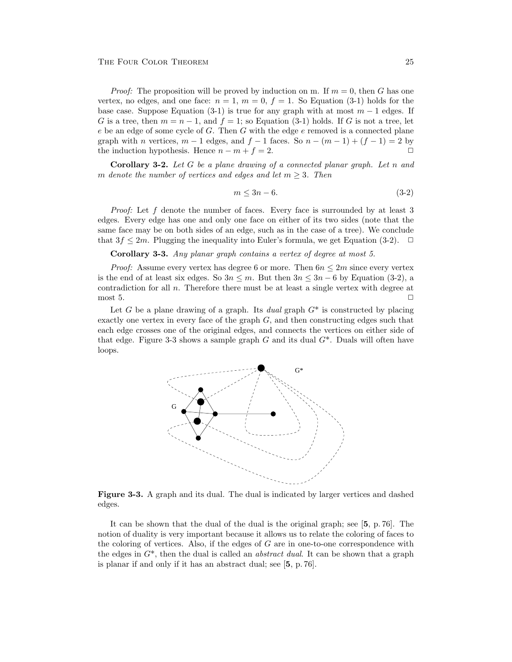*Proof:* The proposition will be proved by induction on m. If  $m = 0$ , then G has one vertex, no edges, and one face:  $n = 1$ ,  $m = 0$ ,  $f = 1$ . So Equation (3-1) holds for the base case. Suppose Equation (3-1) is true for any graph with at most  $m-1$  edges. If G is a tree, then  $m = n - 1$ , and  $f = 1$ ; so Equation (3-1) holds. If G is not a tree, let  $e$  be an edge of some cycle of  $G$ . Then  $G$  with the edge  $e$  removed is a connected plane graph with n vertices,  $m - 1$  edges, and  $f - 1$  faces. So  $n - (m - 1) + (f - 1) = 2$  by the induction hypothesis. Hence  $n - m + f = 2$ .

**Corollary 3-2.** Let  $G$  be a plane drawing of a connected planar graph. Let  $n$  and m denote the number of vertices and edges and let  $m \geq 3$ . Then

$$
m \le 3n - 6.\tag{3-2}
$$

Proof: Let f denote the number of faces. Every face is surrounded by at least 3 edges. Every edge has one and only one face on either of its two sides (note that the same face may be on both sides of an edge, such as in the case of a tree). We conclude that  $3f \leq 2m$ . Plugging the inequality into Euler's formula, we get Equation (3-2).  $\Box$ 

Corollary 3-3. Any planar graph contains a vertex of degree at most 5.

*Proof:* Assume every vertex has degree 6 or more. Then  $6n \leq 2m$  since every vertex is the end of at least six edges. So  $3n \le m$ . But then  $3n \le 3n-6$  by Equation (3-2), a contradiction for all  $n$ . Therefore there must be at least a single vertex with degree at most 5.  $\Box$ 

Let G be a plane drawing of a graph. Its dual graph  $G^*$  is constructed by placing exactly one vertex in every face of the graph  $G$ , and then constructing edges such that each edge crosses one of the original edges, and connects the vertices on either side of that edge. Figure 3-3 shows a sample graph  $G$  and its dual  $G^*$ . Duals will often have loops.



Figure 3-3. A graph and its dual. The dual is indicated by larger vertices and dashed edges.

It can be shown that the dual of the dual is the original graph; see [5, p. 76]. The notion of duality is very important because it allows us to relate the coloring of faces to the coloring of vertices. Also, if the edges of  $G$  are in one-to-one correspondence with the edges in  $G^*$ , then the dual is called an *abstract dual*. It can be shown that a graph is planar if and only if it has an abstract dual; see [5, p. 76].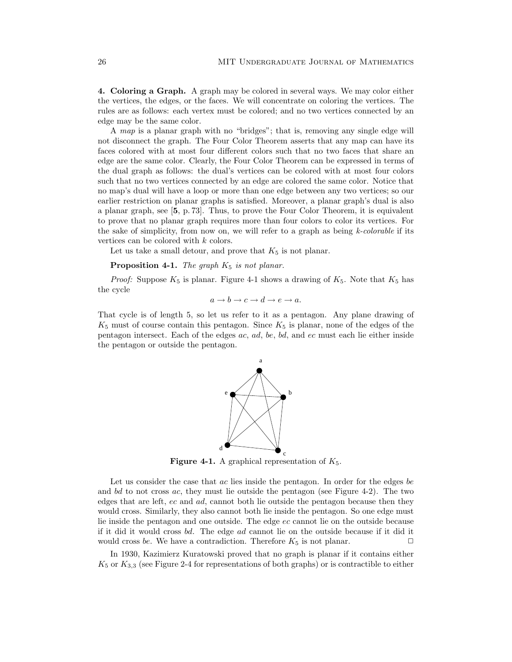4. Coloring a Graph. A graph may be colored in several ways. We may color either the vertices, the edges, or the faces. We will concentrate on coloring the vertices. The rules are as follows: each vertex must be colored; and no two vertices connected by an edge may be the same color.

A map is a planar graph with no "bridges"; that is, removing any single edge will not disconnect the graph. The Four Color Theorem asserts that any map can have its faces colored with at most four different colors such that no two faces that share an edge are the same color. Clearly, the Four Color Theorem can be expressed in terms of the dual graph as follows: the dual's vertices can be colored with at most four colors such that no two vertices connected by an edge are colored the same color. Notice that no map's dual will have a loop or more than one edge between any two vertices; so our earlier restriction on planar graphs is satisfied. Moreover, a planar graph's dual is also a planar graph, see [5, p. 73]. Thus, to prove the Four Color Theorem, it is equivalent to prove that no planar graph requires more than four colors to color its vertices. For the sake of simplicity, from now on, we will refer to a graph as being  $k$ -colorable if its vertices can be colored with k colors.

Let us take a small detour, and prove that  $K_5$  is not planar.

## **Proposition 4-1.** The graph  $K_5$  is not planar.

*Proof:* Suppose  $K_5$  is planar. Figure 4-1 shows a drawing of  $K_5$ . Note that  $K_5$  has the cycle

$$
a \to b \to c \to d \to e \to a.
$$

That cycle is of length 5, so let us refer to it as a pentagon. Any plane drawing of  $K_5$  must of course contain this pentagon. Since  $K_5$  is planar, none of the edges of the pentagon intersect. Each of the edges ac, ad, be, bd, and ec must each lie either inside the pentagon or outside the pentagon.



**Figure 4-1.** A graphical representation of  $K_5$ .

Let us consider the case that  $ac$  lies inside the pentagon. In order for the edges be and  $bd$  to not cross  $ac$ , they must lie outside the pentagon (see Figure 4-2). The two edges that are left, ec and ad, cannot both lie outside the pentagon because then they would cross. Similarly, they also cannot both lie inside the pentagon. So one edge must lie inside the pentagon and one outside. The edge ec cannot lie on the outside because if it did it would cross bd. The edge ad cannot lie on the outside because if it did it would cross be. We have a contradiction. Therefore  $K_5$  is not planar.  $\Box$ 

In 1930, Kazimierz Kuratowski proved that no graph is planar if it contains either  $K_5$  or  $K_{3,3}$  (see Figure 2-4 for representations of both graphs) or is contractible to either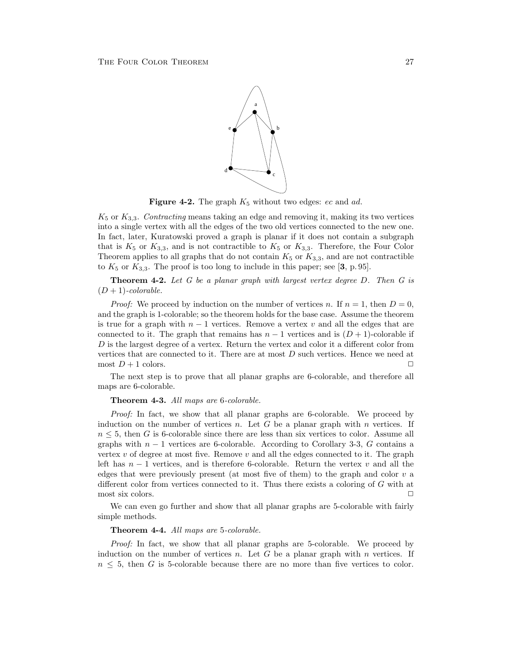

Figure 4-2. The graph  $K_5$  without two edges: ec and ad.

 $K_5$  or  $K_{3,3}$ . Contracting means taking an edge and removing it, making its two vertices into a single vertex with all the edges of the two old vertices connected to the new one. In fact, later, Kuratowski proved a graph is planar if it does not contain a subgraph that is  $K_5$  or  $K_{3,3}$ , and is not contractible to  $K_5$  or  $K_{3,3}$ . Therefore, the Four Color Theorem applies to all graphs that do not contain  $K_5$  or  $K_{3,3}$ , and are not contractible to  $K_5$  or  $K_{3,3}$ . The proof is too long to include in this paper; see [3, p. 95].

**Theorem 4-2.** Let G be a planar graph with largest vertex degree D. Then G is  $(D+1)$ -colorable.

*Proof:* We proceed by induction on the number of vertices n. If  $n = 1$ , then  $D = 0$ , and the graph is 1-colorable; so the theorem holds for the base case. Assume the theorem is true for a graph with  $n-1$  vertices. Remove a vertex v and all the edges that are connected to it. The graph that remains has  $n-1$  vertices and is  $(D+1)$ -colorable if  $D$  is the largest degree of a vertex. Return the vertex and color it a different color from vertices that are connected to it. There are at most  $D$  such vertices. Hence we need at most  $D+1$  colors.

The next step is to prove that all planar graphs are 6-colorable, and therefore all maps are 6-colorable.

## Theorem 4-3. All maps are 6-colorable.

Proof: In fact, we show that all planar graphs are 6-colorable. We proceed by induction on the number of vertices  $n$ . Let G be a planar graph with n vertices. If  $n \leq 5$ , then G is 6-colorable since there are less than six vertices to color. Assume all graphs with  $n-1$  vertices are 6-colorable. According to Corollary 3-3, G contains a vertex  $v$  of degree at most five. Remove  $v$  and all the edges connected to it. The graph left has  $n-1$  vertices, and is therefore 6-colorable. Return the vertex v and all the edges that were previously present (at most five of them) to the graph and color  $v$  a different color from vertices connected to it. Thus there exists a coloring of G with at most six colors.  $\Box$ 

We can even go further and show that all planar graphs are 5-colorable with fairly simple methods.

#### Theorem 4-4. All maps are 5-colorable.

Proof: In fact, we show that all planar graphs are 5-colorable. We proceed by induction on the number of vertices  $n$ . Let  $G$  be a planar graph with  $n$  vertices. If  $n \leq 5$ , then G is 5-colorable because there are no more than five vertices to color.